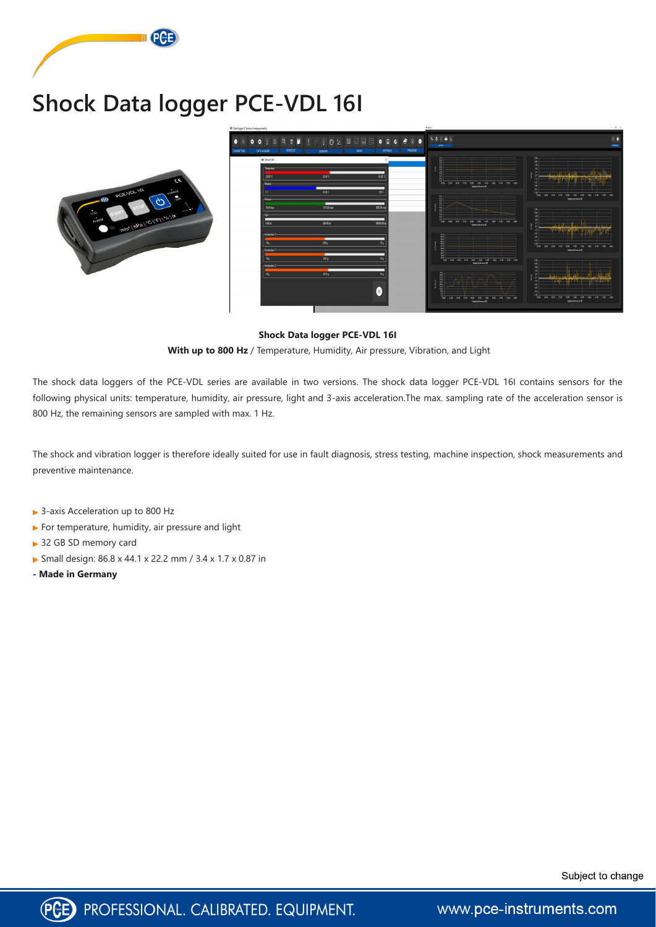# **Shock Data logger PCE-VDL 16I**



#### **Shock Data logger PCE-VDL 16I**

 **With up to 800 Hz** / Temperature, Humidity, Air pressure, Vibration, and Light

The shock data loggers of the PCE-VDL series are available in two versions. The shock data logger PCE-VDL 16I contains sensors for the following physical units: temperature, humidity, air pressure, light and 3-axis acceleration.The max. sampling rate of the acceleration sensor is 800 Hz, the remaining sensors are sampled with max. 1 Hz.

- ▶ 3-axis Acceleration up to 800 Hz
- For temperature, humidity, air pressure and light
- ▶ 32 GB SD memory card
- Small design: 86.8 x 44.1 x 22.2 mm / 3.4 x 1.7 x 0.87 in
- **Made in Germany**





www.pce-instruments.com

The shock and vibration logger is therefore ideally suited for use in fault diagnosis, stress testing, machine inspection, shock measurements and preventive maintenance.